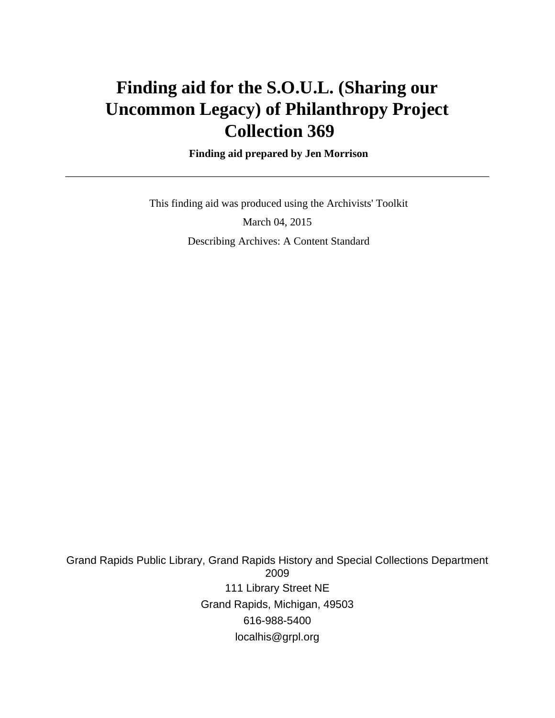# **Finding aid for the S.O.U.L. (Sharing our Uncommon Legacy) of Philanthropy Project Collection 369**

 **Finding aid prepared by Jen Morrison**

 This finding aid was produced using the Archivists' Toolkit March 04, 2015 Describing Archives: A Content Standard

Grand Rapids Public Library, Grand Rapids History and Special Collections Department 2009 111 Library Street NE Grand Rapids, Michigan, 49503 616-988-5400 localhis@grpl.org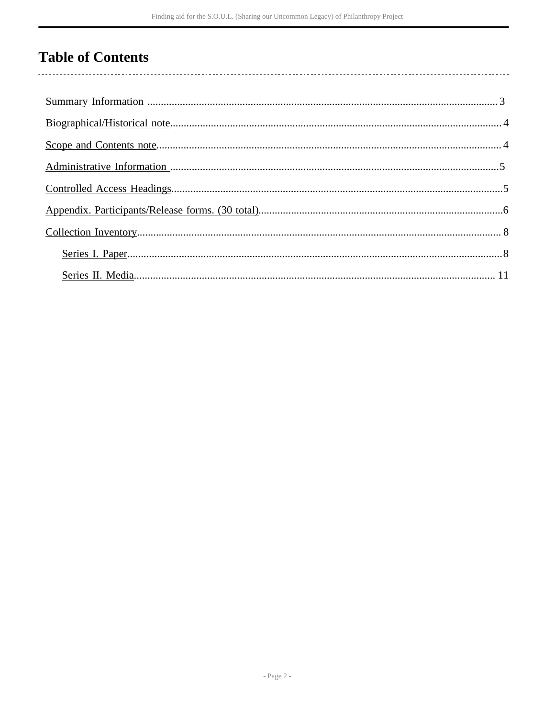# **Table of Contents**

 $\overline{\phantom{a}}$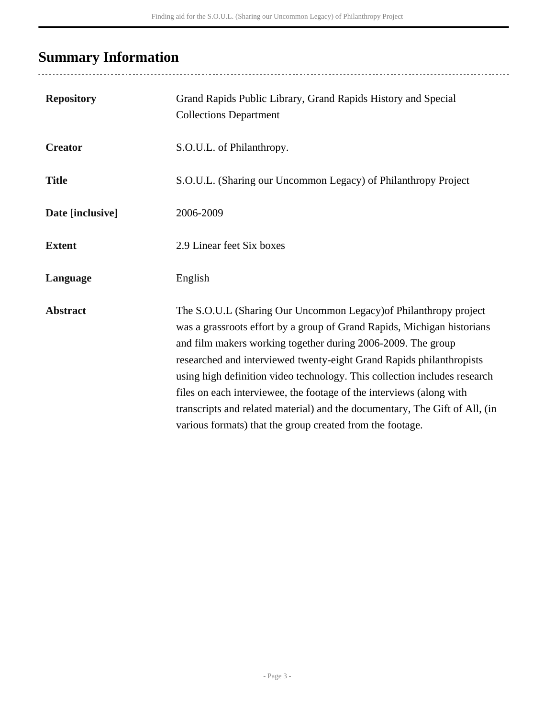# <span id="page-2-0"></span>**Summary Information**

..........................

| <b>Repository</b> | Grand Rapids Public Library, Grand Rapids History and Special<br><b>Collections Department</b>                                                                                                                                                                                                                                                                                                                                                                                                                                                                                        |
|-------------------|---------------------------------------------------------------------------------------------------------------------------------------------------------------------------------------------------------------------------------------------------------------------------------------------------------------------------------------------------------------------------------------------------------------------------------------------------------------------------------------------------------------------------------------------------------------------------------------|
| <b>Creator</b>    | S.O.U.L. of Philanthropy.                                                                                                                                                                                                                                                                                                                                                                                                                                                                                                                                                             |
| <b>Title</b>      | S.O.U.L. (Sharing our Uncommon Legacy) of Philanthropy Project                                                                                                                                                                                                                                                                                                                                                                                                                                                                                                                        |
| Date [inclusive]  | 2006-2009                                                                                                                                                                                                                                                                                                                                                                                                                                                                                                                                                                             |
| <b>Extent</b>     | 2.9 Linear feet Six boxes                                                                                                                                                                                                                                                                                                                                                                                                                                                                                                                                                             |
| Language          | English                                                                                                                                                                                                                                                                                                                                                                                                                                                                                                                                                                               |
| <b>Abstract</b>   | The S.O.U.L (Sharing Our Uncommon Legacy) of Philanthropy project<br>was a grassroots effort by a group of Grand Rapids, Michigan historians<br>and film makers working together during 2006-2009. The group<br>researched and interviewed twenty-eight Grand Rapids philanthropists<br>using high definition video technology. This collection includes research<br>files on each interviewee, the footage of the interviews (along with<br>transcripts and related material) and the documentary, The Gift of All, (in<br>various formats) that the group created from the footage. |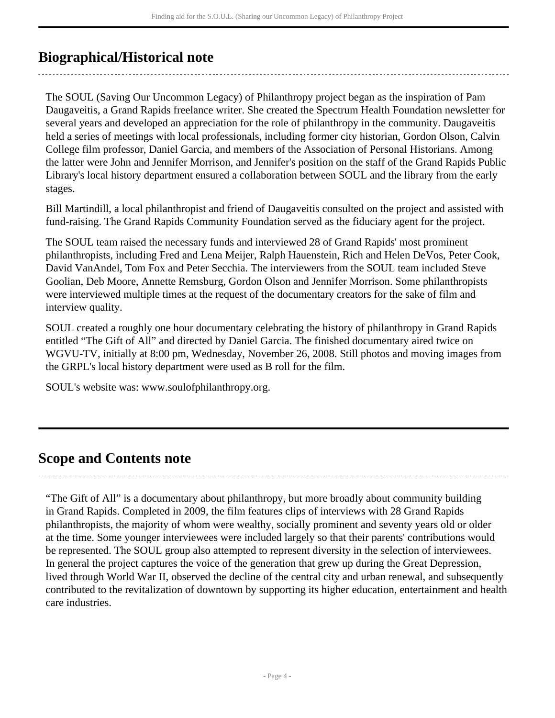# <span id="page-3-0"></span>**Biographical/Historical note**

The SOUL (Saving Our Uncommon Legacy) of Philanthropy project began as the inspiration of Pam Daugaveitis, a Grand Rapids freelance writer. She created the Spectrum Health Foundation newsletter for several years and developed an appreciation for the role of philanthropy in the community. Daugaveitis held a series of meetings with local professionals, including former city historian, Gordon Olson, Calvin College film professor, Daniel Garcia, and members of the Association of Personal Historians. Among the latter were John and Jennifer Morrison, and Jennifer's position on the staff of the Grand Rapids Public Library's local history department ensured a collaboration between SOUL and the library from the early stages.

Bill Martindill, a local philanthropist and friend of Daugaveitis consulted on the project and assisted with fund-raising. The Grand Rapids Community Foundation served as the fiduciary agent for the project.

The SOUL team raised the necessary funds and interviewed 28 of Grand Rapids' most prominent philanthropists, including Fred and Lena Meijer, Ralph Hauenstein, Rich and Helen DeVos, Peter Cook, David VanAndel, Tom Fox and Peter Secchia. The interviewers from the SOUL team included Steve Goolian, Deb Moore, Annette Remsburg, Gordon Olson and Jennifer Morrison. Some philanthropists were interviewed multiple times at the request of the documentary creators for the sake of film and interview quality.

SOUL created a roughly one hour documentary celebrating the history of philanthropy in Grand Rapids entitled "The Gift of All" and directed by Daniel Garcia. The finished documentary aired twice on WGVU-TV, initially at 8:00 pm, Wednesday, November 26, 2008. Still photos and moving images from the GRPL's local history department were used as B roll for the film.

SOUL's website was: www.soulofphilanthropy.org.

### <span id="page-3-1"></span>**Scope and Contents note**

"The Gift of All" is a documentary about philanthropy, but more broadly about community building in Grand Rapids. Completed in 2009, the film features clips of interviews with 28 Grand Rapids philanthropists, the majority of whom were wealthy, socially prominent and seventy years old or older at the time. Some younger interviewees were included largely so that their parents' contributions would be represented. The SOUL group also attempted to represent diversity in the selection of interviewees. In general the project captures the voice of the generation that grew up during the Great Depression, lived through World War II, observed the decline of the central city and urban renewal, and subsequently contributed to the revitalization of downtown by supporting its higher education, entertainment and health care industries.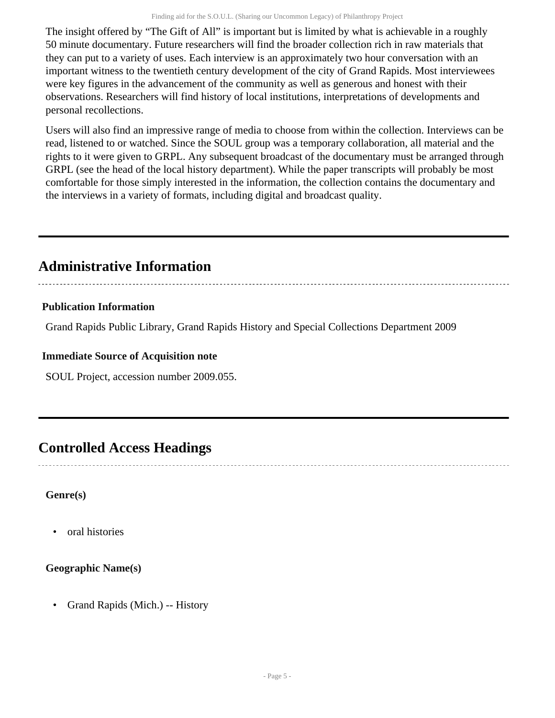The insight offered by "The Gift of All" is important but is limited by what is achievable in a roughly 50 minute documentary. Future researchers will find the broader collection rich in raw materials that they can put to a variety of uses. Each interview is an approximately two hour conversation with an important witness to the twentieth century development of the city of Grand Rapids. Most interviewees were key figures in the advancement of the community as well as generous and honest with their observations. Researchers will find history of local institutions, interpretations of developments and personal recollections.

Users will also find an impressive range of media to choose from within the collection. Interviews can be read, listened to or watched. Since the SOUL group was a temporary collaboration, all material and the rights to it were given to GRPL. Any subsequent broadcast of the documentary must be arranged through GRPL (see the head of the local history department). While the paper transcripts will probably be most comfortable for those simply interested in the information, the collection contains the documentary and the interviews in a variety of formats, including digital and broadcast quality.

## <span id="page-4-0"></span>**Administrative Information**

# **Publication Information**

Grand Rapids Public Library, Grand Rapids History and Special Collections Department 2009

### **Immediate Source of Acquisition note**

SOUL Project, accession number 2009.055.

# <span id="page-4-1"></span>**Controlled Access Headings**

### **Genre(s)**

• oral histories

### **Geographic Name(s)**

• Grand Rapids (Mich.) -- History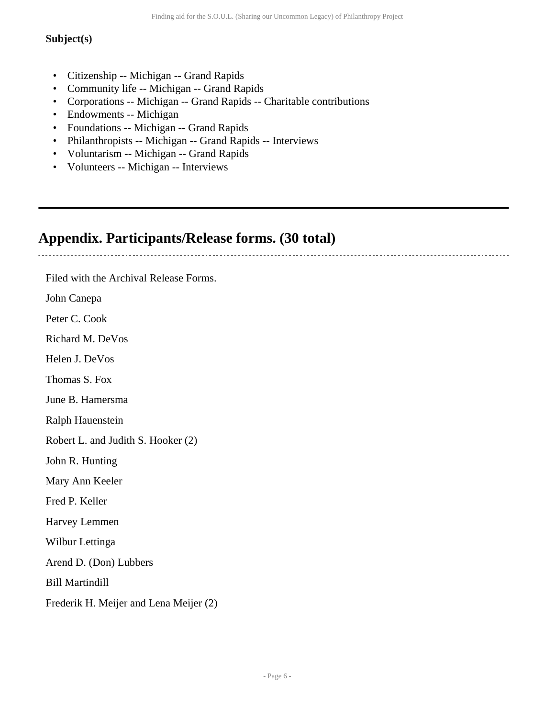### **Subject(s)**

- Citizenship -- Michigan -- Grand Rapids
- Community life -- Michigan -- Grand Rapids
- Corporations -- Michigan -- Grand Rapids -- Charitable contributions
- Endowments -- Michigan
- Foundations -- Michigan -- Grand Rapids
- Philanthropists -- Michigan -- Grand Rapids -- Interviews
- Voluntarism -- Michigan -- Grand Rapids
- Volunteers -- Michigan -- Interviews

## <span id="page-5-0"></span>**Appendix. Participants/Release forms. (30 total)**

Filed with the Archival Release Forms.

John Canepa

Peter C. Cook

Richard M. DeVos

Helen J. DeVos

Thomas S. Fox

June B. Hamersma

Ralph Hauenstein

Robert L. and Judith S. Hooker (2)

John R. Hunting

Mary Ann Keeler

Fred P. Keller

Harvey Lemmen

Wilbur Lettinga

Arend D. (Don) Lubbers

Bill Martindill

Frederik H. Meijer and Lena Meijer (2)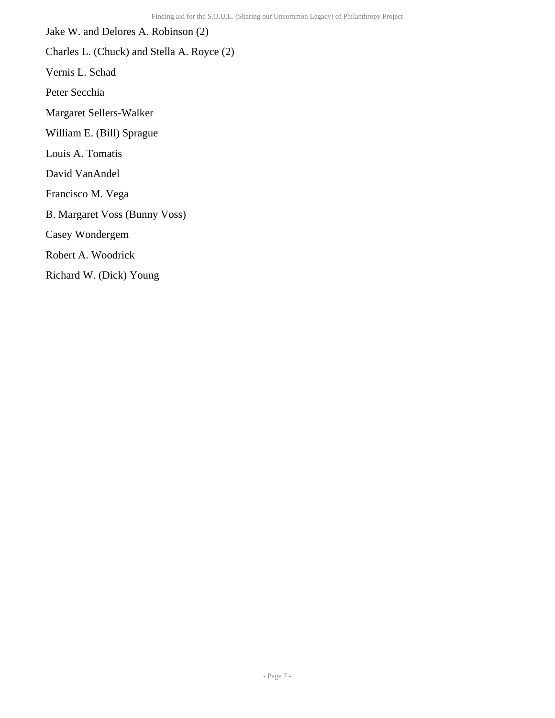Jake W. and Delores A. Robinson (2) Charles L. (Chuck) and Stella A. Royce (2) Vernis L. Schad Peter Secchia Margaret Sellers-Walker William E. (Bill) Sprague Louis A. Tomatis David VanAndel Francisco M. Vega B. Margaret Voss (Bunny Voss) Casey Wondergem Robert A. Woodrick Richard W. (Dick) Young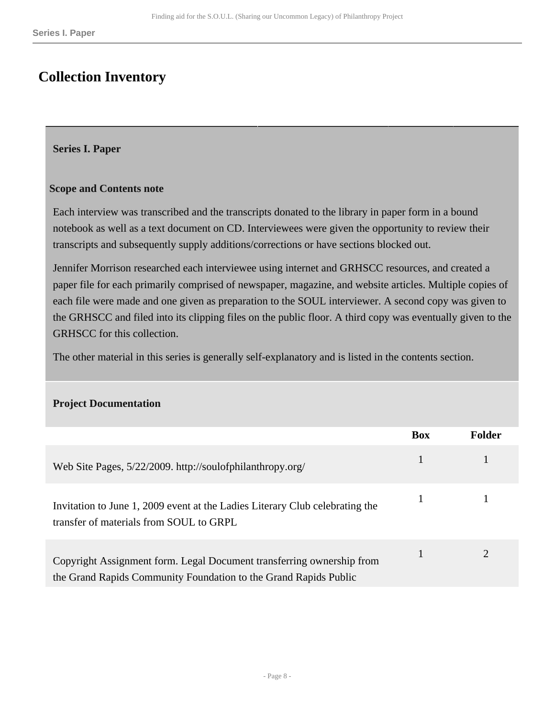## <span id="page-7-0"></span>**Collection Inventory**

#### <span id="page-7-1"></span>**Series I. Paper**

#### **Scope and Contents note**

Each interview was transcribed and the transcripts donated to the library in paper form in a bound notebook as well as a text document on CD. Interviewees were given the opportunity to review their transcripts and subsequently supply additions/corrections or have sections blocked out.

Jennifer Morrison researched each interviewee using internet and GRHSCC resources, and created a paper file for each primarily comprised of newspaper, magazine, and website articles. Multiple copies of each file were made and one given as preparation to the SOUL interviewer. A second copy was given to the GRHSCC and filed into its clipping files on the public floor. A third copy was eventually given to the GRHSCC for this collection.

The other material in this series is generally self-explanatory and is listed in the contents section.

#### **Project Documentation**

|                                                                                                                                           | <b>Box</b> | Folder |
|-------------------------------------------------------------------------------------------------------------------------------------------|------------|--------|
| Web Site Pages, 5/22/2009. http://soulofphilanthropy.org/                                                                                 |            |        |
| Invitation to June 1, 2009 event at the Ladies Literary Club celebrating the<br>transfer of materials from SOUL to GRPL                   |            |        |
| Copyright Assignment form. Legal Document transferring ownership from<br>the Grand Rapids Community Foundation to the Grand Rapids Public |            |        |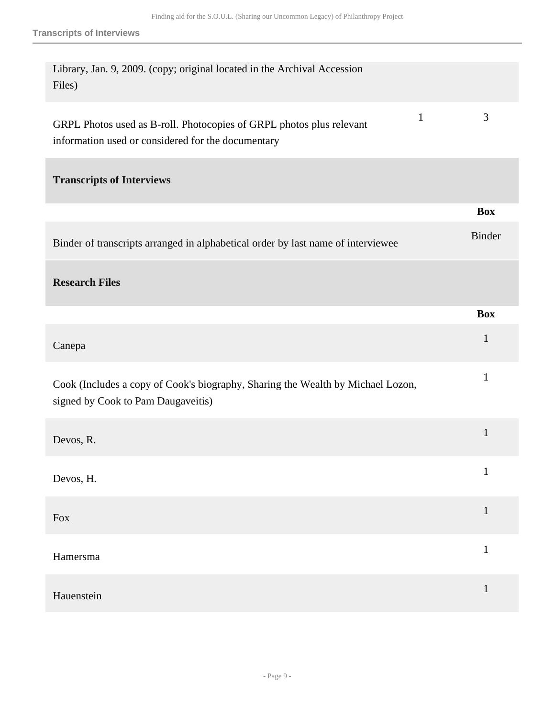| Library, Jan. 9, 2009. (copy; original located in the Archival Accession<br>Files)                                                         |               |
|--------------------------------------------------------------------------------------------------------------------------------------------|---------------|
| $\mathbf{1}$<br>GRPL Photos used as B-roll. Photocopies of GRPL photos plus relevant<br>information used or considered for the documentary | 3             |
| <b>Transcripts of Interviews</b>                                                                                                           |               |
|                                                                                                                                            | <b>Box</b>    |
| Binder of transcripts arranged in alphabetical order by last name of interviewee                                                           | <b>Binder</b> |
| <b>Research Files</b>                                                                                                                      |               |
|                                                                                                                                            | <b>Box</b>    |
| Canepa                                                                                                                                     | $\mathbf{1}$  |
| Cook (Includes a copy of Cook's biography, Sharing the Wealth by Michael Lozon,<br>signed by Cook to Pam Daugaveitis)                      | $\mathbf{1}$  |
| Devos, R.                                                                                                                                  | $\mathbf{1}$  |
| Devos, H.                                                                                                                                  | $\mathbf{1}$  |
| Fox                                                                                                                                        | $\mathbf{1}$  |
|                                                                                                                                            |               |
| Hamersma                                                                                                                                   | $\mathbf{1}$  |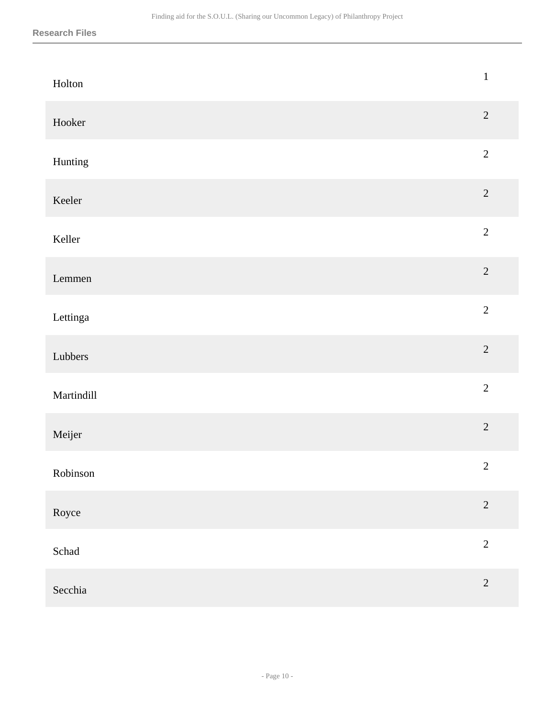| Holton        | $\mathbf 1$    |
|---------------|----------------|
| Hooker        | $\sqrt{2}$     |
| Hunting       | $\overline{2}$ |
| Keeler        | $\overline{2}$ |
| Keller        | $\sqrt{2}$     |
| ${\bf Lemma}$ | $\overline{2}$ |
| Lettinga      | $\overline{2}$ |
| Lubbers       | $\overline{2}$ |
| Martindill    | $\overline{2}$ |
| Meijer        | $\overline{c}$ |
| Robinson      | $\overline{2}$ |
| Royce         | $\overline{2}$ |
| Schad         | $\overline{2}$ |
| Secchia       | $\sqrt{2}$     |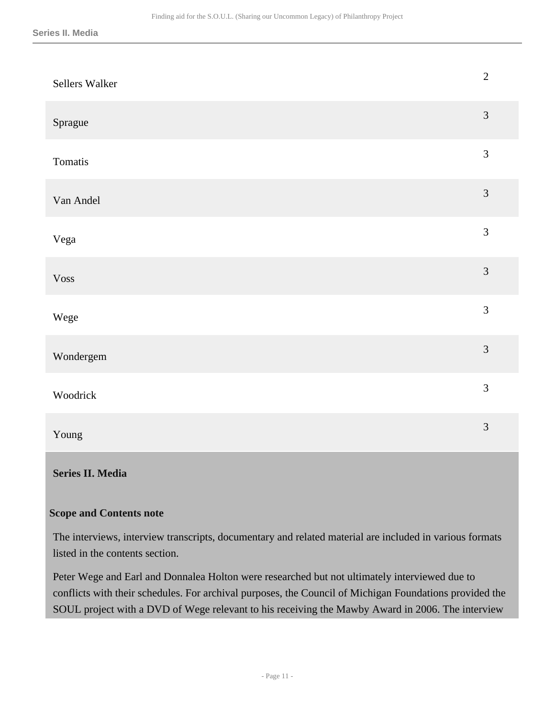| Sellers Walker | $\overline{2}$ |
|----------------|----------------|
| Sprague        | $\mathfrak{Z}$ |
| Tomatis        | $\mathfrak{Z}$ |
| Van Andel      | $\overline{3}$ |
| Vega           | $\overline{3}$ |
| <b>Voss</b>    | $\overline{3}$ |
| Wege           | $\overline{3}$ |
| Wondergem      | $\overline{3}$ |
| Woodrick       | $\overline{3}$ |
| Young          | $\overline{3}$ |

### <span id="page-10-0"></span>**Series II. Media**

#### **Scope and Contents note**

The interviews, interview transcripts, documentary and related material are included in various formats listed in the contents section.

Peter Wege and Earl and Donnalea Holton were researched but not ultimately interviewed due to conflicts with their schedules. For archival purposes, the Council of Michigan Foundations provided the SOUL project with a DVD of Wege relevant to his receiving the Mawby Award in 2006. The interview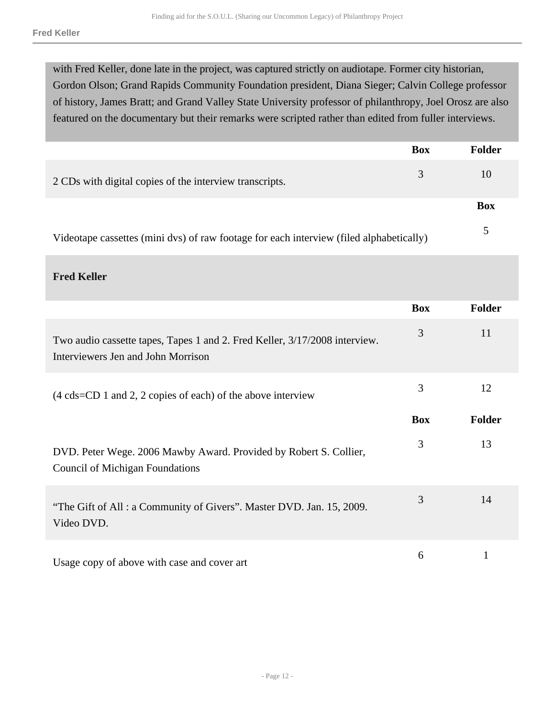with Fred Keller, done late in the project, was captured strictly on audiotape. Former city historian, Gordon Olson; Grand Rapids Community Foundation president, Diana Sieger; Calvin College professor of history, James Bratt; and Grand Valley State University professor of philanthropy, Joel Orosz are also featured on the documentary but their remarks were scripted rather than edited from fuller interviews.

|                                                                                         | <b>Box</b> | <b>Folder</b> |
|-----------------------------------------------------------------------------------------|------------|---------------|
| 2 CDs with digital copies of the interview transcripts.                                 | 3          | 10            |
|                                                                                         |            | Box           |
| Videotape cassettes (mini dvs) of raw footage for each interview (filed alphabetically) |            |               |

**Fred Keller** 

|                                                                                                                  | <b>Box</b> | <b>Folder</b> |
|------------------------------------------------------------------------------------------------------------------|------------|---------------|
| Two audio cassette tapes, Tapes 1 and 2. Fred Keller, 3/17/2008 interview.<br>Interviewers Jen and John Morrison | 3          | 11            |
| $(4 \text{ cds=CD 1 and 2, 2 copies of each})$ of the above interview                                            | 3          | 12            |
|                                                                                                                  | <b>Box</b> | <b>Folder</b> |
| DVD. Peter Wege. 2006 Mawby Award. Provided by Robert S. Collier,<br><b>Council of Michigan Foundations</b>      | 3          | 13            |
| "The Gift of All: a Community of Givers". Master DVD. Jan. 15, 2009.<br>Video DVD.                               | 3          | 14            |
| Usage copy of above with case and cover art                                                                      | 6          |               |